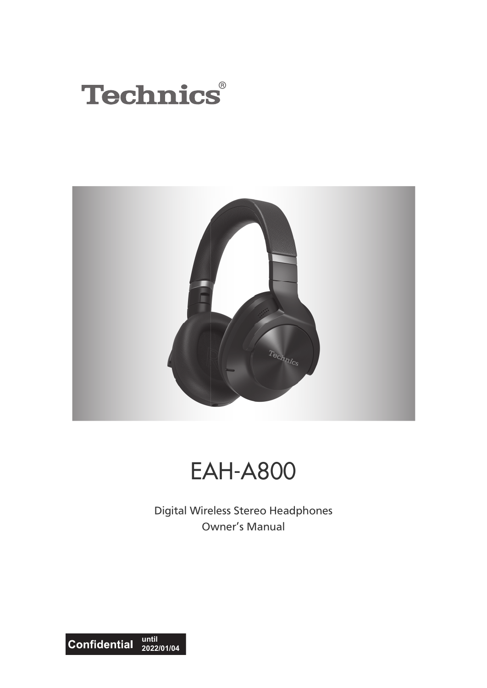



# EAH-A800

Digital Wireless Stereo Headphones Owner's Manual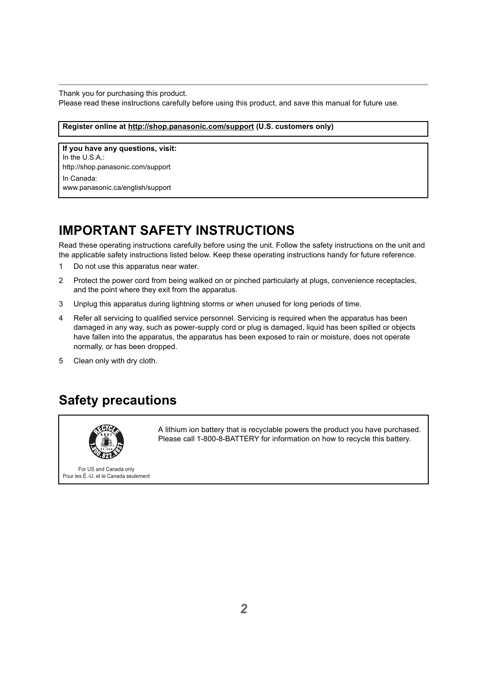Thank you for purchasing this product.

Please read these instructions carefully before using this product, and save this manual for future use.

**Register online at http://shop.panasonic.com/support (U.S. customers only)**

**If you have any questions, visit:** In the U.S.A.: http://shop.panasonic.com/support In Canada: www.panasonic.ca/english/support

## <span id="page-1-0"></span>**IMPORTANT SAFETY INSTRUCTIONS**

Read these operating instructions carefully before using the unit. Follow the safety instructions on the unit and the applicable safety instructions listed below. Keep these operating instructions handy for future reference.

- 1 Do not use this apparatus near water.
- 2 Protect the power cord from being walked on or pinched particularly at plugs, convenience receptacles, and the point where they exit from the apparatus.
- 3 Unplug this apparatus during lightning storms or when unused for long periods of time.
- 4 Refer all servicing to qualified service personnel. Servicing is required when the apparatus has been damaged in any way, such as power-supply cord or plug is damaged, liquid has been spilled or objects have fallen into the apparatus, the apparatus has been exposed to rain or moisture, does not operate normally, or has been dropped.
- 5 Clean only with dry cloth.

## <span id="page-1-1"></span>**Safety precautions**



A lithium ion battery that is recyclable powers the product you have purchased. Please call 1-800-8-BATTERY for information on how to recycle this battery.

For US and Canada only Pour les É.-U. et le Canada seulement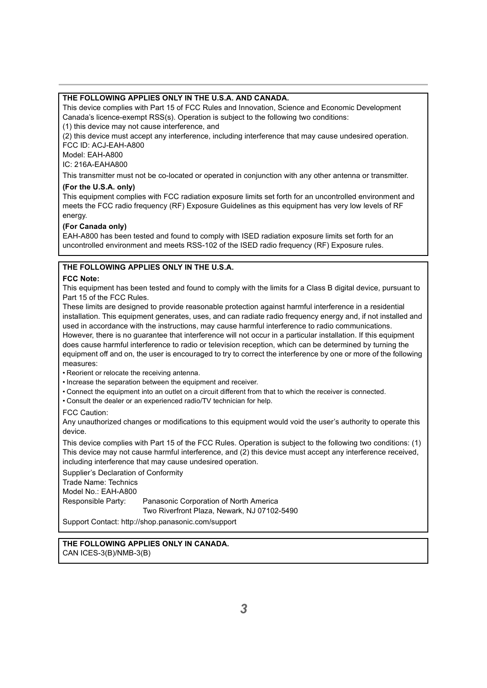#### **THE FOLLOWING APPLIES ONLY IN THE U.S.A. AND CANADA.**

This device complies with Part 15 of FCC Rules and Innovation, Science and Economic Development Canada's licence-exempt RSS(s). Operation is subject to the following two conditions:

(1) this device may not cause interference, and

(2) this device must accept any interference, including interference that may cause undesired operation. FCC ID: ACJ-EAH-A800

Model: EAH-A800

IC: 216A-EAHA800

This transmitter must not be co-located or operated in conjunction with any other antenna or transmitter.

#### **(For the U.S.A. only)**

This equipment complies with FCC radiation exposure limits set forth for an uncontrolled environment and meets the FCC radio frequency (RF) Exposure Guidelines as this equipment has very low levels of RF energy.

#### **(For Canada only)**

EAH-A800 has been tested and found to comply with ISED radiation exposure limits set forth for an uncontrolled environment and meets RSS-102 of the ISED radio frequency (RF) Exposure rules.

#### **THE FOLLOWING APPLIES ONLY IN THE U.S.A.**

#### **FCC Note:**

This equipment has been tested and found to comply with the limits for a Class B digital device, pursuant to Part 15 of the FCC Rules.

These limits are designed to provide reasonable protection against harmful interference in a residential installation. This equipment generates, uses, and can radiate radio frequency energy and, if not installed and used in accordance with the instructions, may cause harmful interference to radio communications. However, there is no guarantee that interference will not occur in a particular installation. If this equipment does cause harmful interference to radio or television reception, which can be determined by turning the equipment off and on, the user is encouraged to try to correct the interference by one or more of the following measures:

• Reorient or relocate the receiving antenna.

- Increase the separation between the equipment and receiver.
- Connect the equipment into an outlet on a circuit different from that to which the receiver is connected.
- Consult the dealer or an experienced radio/TV technician for help.

#### FCC Caution:

Any unauthorized changes or modifications to this equipment would void the user's authority to operate this device.

This device complies with Part 15 of the FCC Rules. Operation is subject to the following two conditions: (1) This device may not cause harmful interference, and (2) this device must accept any interference received, including interference that may cause undesired operation.

Supplier's Declaration of Conformity Trade Name: Technics Model No.: EAH-A800 Responsible Party: Panasonic Corporation of North America Two Riverfront Plaza, Newark, NJ 07102-5490

Support Contact: http://shop.panasonic.com/support

### **THE FOLLOWING APPLIES ONLY IN CANADA.**

CAN ICES-3(B)/NMB-3(B)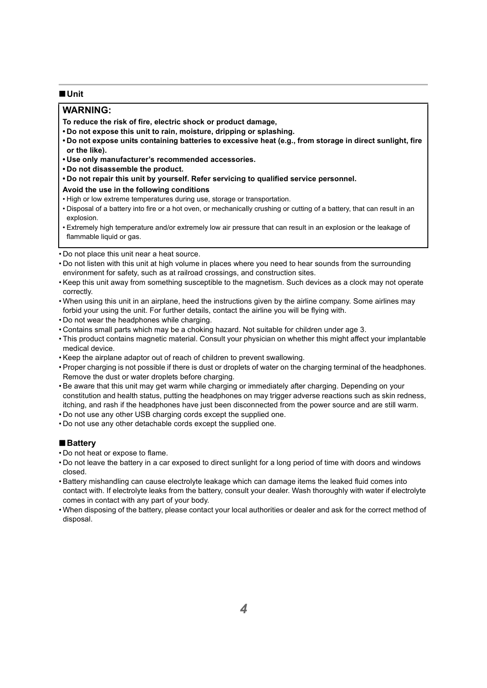#### ∫**Unit**

### **WARNING:**

**To reduce the risk of fire, electric shock or product damage,**

- **Do not expose this unit to rain, moisture, dripping or splashing.**
- **Do not expose units containing batteries to excessive heat (e.g., from storage in direct sunlight, fire or the like).**
- **Use only manufacturer's recommended accessories.**
- **Do not disassemble the product.**
- **Do not repair this unit by yourself. Refer servicing to qualified service personnel.**

#### **Avoid the use in the following conditions**

- High or low extreme temperatures during use, storage or transportation.
- Disposal of a battery into fire or a hot oven, or mechanically crushing or cutting of a battery, that can result in an explosion.
- Extremely high temperature and/or extremely low air pressure that can result in an explosion or the leakage of flammable liquid or gas.
- Do not place this unit near a heat source.
- Do not listen with this unit at high volume in places where you need to hear sounds from the surrounding environment for safety, such as at railroad crossings, and construction sites.
- Keep this unit away from something susceptible to the magnetism. Such devices as a clock may not operate correctly.
- When using this unit in an airplane, heed the instructions given by the airline company. Some airlines may forbid your using the unit. For further details, contact the airline you will be flying with.
- Do not wear the headphones while charging.
- Contains small parts which may be a choking hazard. Not suitable for children under age 3.
- This product contains magnetic material. Consult your physician on whether this might affect your implantable medical device.
- Keep the airplane adaptor out of reach of children to prevent swallowing.
- Proper charging is not possible if there is dust or droplets of water on the charging terminal of the headphones. Remove the dust or water droplets before charging.
- Be aware that this unit may get warm while charging or immediately after charging. Depending on your constitution and health status, putting the headphones on may trigger adverse reactions such as skin redness, itching, and rash if the headphones have just been disconnected from the power source and are still warm.
- Do not use any other USB charging cords except the supplied one.
- Do not use any other detachable cords except the supplied one.

#### ∫**Battery**

- Do not heat or expose to flame.
- Do not leave the battery in a car exposed to direct sunlight for a long period of time with doors and windows closed.
- Battery mishandling can cause electrolyte leakage which can damage items the leaked fluid comes into contact with. If electrolyte leaks from the battery, consult your dealer. Wash thoroughly with water if electrolyte comes in contact with any part of your body.
- When disposing of the battery, please contact your local authorities or dealer and ask for the correct method of disposal.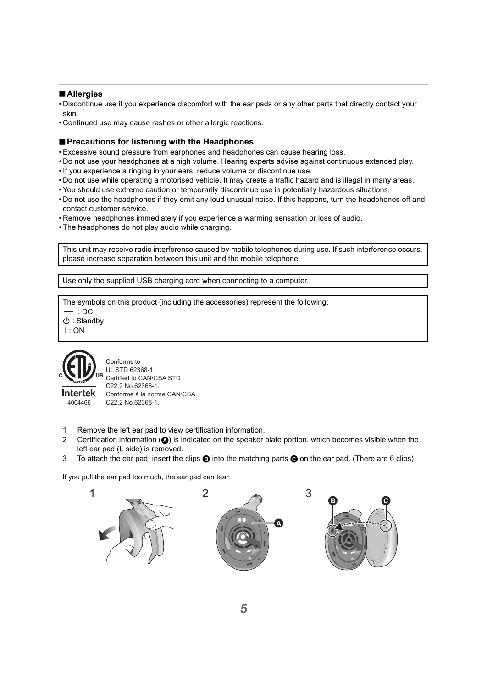#### ∫**Allergies**

- Discontinue use if you experience discomfort with the ear pads or any other parts that directly contact your skin.
- Continued use may cause rashes or other allergic reactions.

### ∫**Precautions for listening with the Headphones**

- Excessive sound pressure from earphones and headphones can cause hearing loss.
- Do not use your headphones at a high volume. Hearing experts advise against continuous extended play.
- If you experience a ringing in your ears, reduce volume or discontinue use.
- Do not use while operating a motorised vehicle. It may create a traffic hazard and is illegal in many areas.
- You should use extreme caution or temporarily discontinue use in potentially hazardous situations.
- Do not use the headphones if they emit any loud unusual noise. If this happens, turn the headphones off and contact customer service.
- Remove headphones immediately if you experience a warming sensation or loss of audio.
- The headphones do not play audio while charging.

This unit may receive radio interference caused by mobile telephones during use. If such interference occurs, please increase separation between this unit and the mobile telephone.

Use only the supplied USB charging cord when connecting to a computer.

The symbols on this product (including the accessories) represent the following:

 $=$  : DC

Í : Standby

I : ON



4004466

**Intertek** 

Conforms to UL STD 62368-1. Certified to CAN/CSA STD C22.2 No.62368-1. Conforme à la norme CAN/CSA C22.2 No.62368-1.

- 1 Remove the left ear pad to view certification information.
- 2 Certification information  $(\bigcirc)$  is indicated on the speaker plate portion, which becomes visible when the left ear pad (L side) is removed.
- 3 To attach the ear pad, insert the clips  $\bigcirc$  into the matching parts  $\bigcirc$  on the ear pad. (There are 6 clips)

If you pull the ear pad too much, the ear pad can tear.

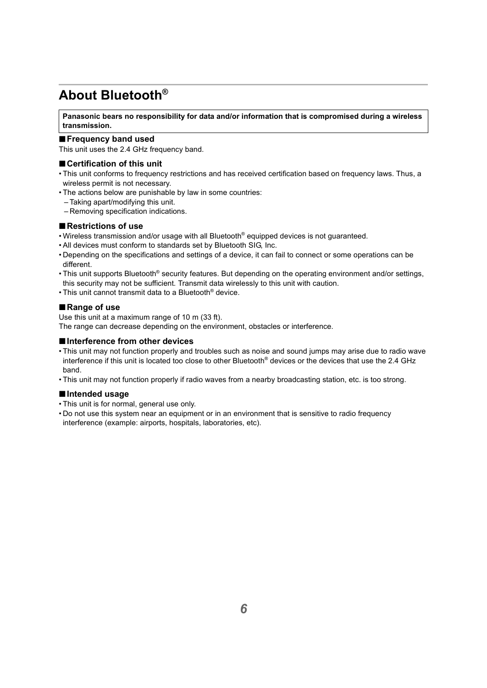## <span id="page-5-0"></span>**About Bluetooth®**

**Panasonic bears no responsibility for data and/or information that is compromised during a wireless transmission.**

#### ∫**Frequency band used**

This unit uses the 2.4 GHz frequency band.

#### ∫**Certification of this unit**

- This unit conforms to frequency restrictions and has received certification based on frequency laws. Thus, a wireless permit is not necessary.
- The actions below are punishable by law in some countries:
	- Taking apart/modifying this unit.
	- Removing specification indications.

#### ∫**Restrictions of use**

- Wireless transmission and/or usage with all Bluetooth® equipped devices is not guaranteed.
- All devices must conform to standards set by Bluetooth SIG, Inc.
- Depending on the specifications and settings of a device, it can fail to connect or some operations can be different.
- This unit supports Bluetooth® security features. But depending on the operating environment and/or settings, this security may not be sufficient. Transmit data wirelessly to this unit with caution.
- This unit cannot transmit data to a Bluetooth® device.

### ∫**Range of use**

Use this unit at a maximum range of 10 m (33 ft).

The range can decrease depending on the environment, obstacles or interference.

#### ∫**Interference from other devices**

- This unit may not function properly and troubles such as noise and sound jumps may arise due to radio wave interference if this unit is located too close to other Bluetooth® devices or the devices that use the 2.4 GHz band.
- This unit may not function properly if radio waves from a nearby broadcasting station, etc. is too strong.

#### ∫**Intended usage**

- This unit is for normal, general use only.
- Do not use this system near an equipment or in an environment that is sensitive to radio frequency interference (example: airports, hospitals, laboratories, etc).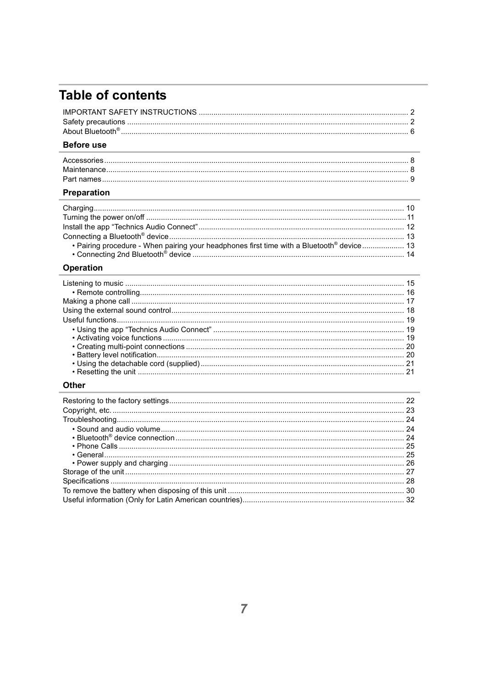## **Table of contents**

### Before use

### Preparation

| • Pairing procedure - When pairing your headphones first time with a Bluetooth® device 13 |  |
|-------------------------------------------------------------------------------------------|--|

### Operation

### Other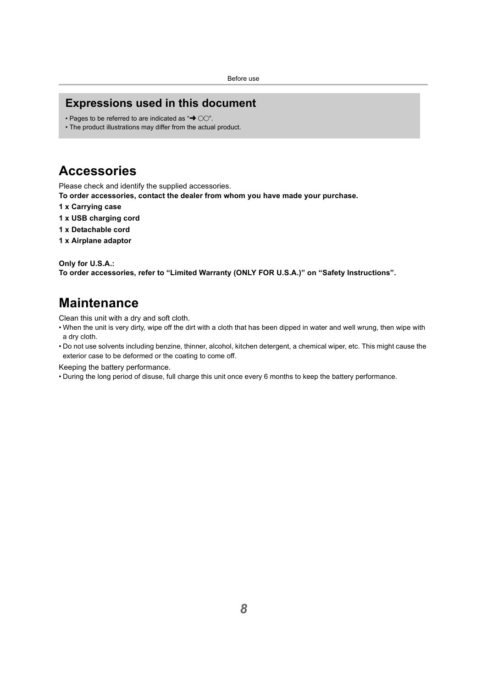## <span id="page-7-0"></span>**Expressions used in this document**

- Pages to be referred to are indicated as " $\rightarrow$  00".
- The product illustrations may differ from the actual product.

## <span id="page-7-1"></span>**Accessories**

Please check and identify the supplied accessories.

**To order accessories, contact the dealer from whom you have made your purchase.**

- **1 x Carrying case**
- **1 x USB charging cord**
- **1 x Detachable cord**
- **1 x Airplane adaptor**

#### **Only for U.S.A.:**

**To order accessories, refer to "Limited Warranty (ONLY FOR U.S.A.)" on "Safety Instructions".**

## <span id="page-7-2"></span>**Maintenance**

Clean this unit with a dry and soft cloth.

- When the unit is very dirty, wipe off the dirt with a cloth that has been dipped in water and well wrung, then wipe with a dry cloth.
- Do not use solvents including benzine, thinner, alcohol, kitchen detergent, a chemical wiper, etc. This might cause the exterior case to be deformed or the coating to come off.

Keeping the battery performance.

• During the long period of disuse, full charge this unit once every 6 months to keep the battery performance.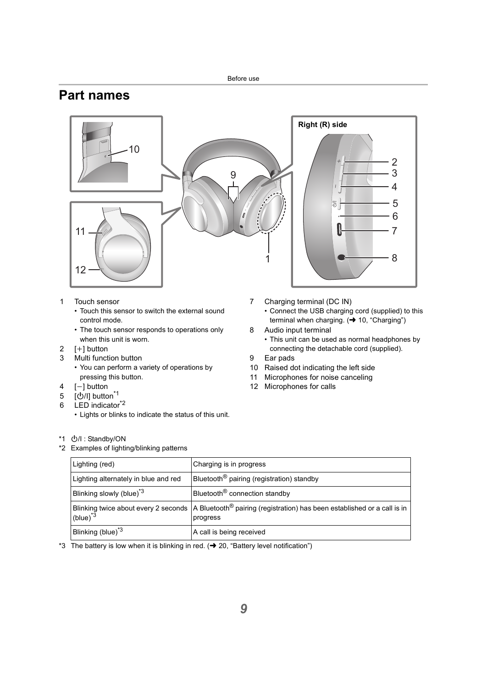## <span id="page-8-0"></span>**Part names**



- 1 Touch sensor
	- Touch this sensor to switch the external sound control mode.
	- The touch sensor responds to operations only when this unit is worn.
- 2  $[I+1]$  button
- 3 Multi function button
	- You can perform a variety of operations by pressing this button.
- $4$  [-1 button
- 5 [少/l] button<sup>\*1</sup>
- 6 LED indicator<sup>\*2</sup>
	- Lights or blinks to indicate the status of this unit.

\*1 (小) : Standby/ON

\*2 Examples of lighting/blinking patterns

- 7 Charging terminal (DC IN)
	- Connect the USB charging cord (supplied) to this terminal when charging.  $\leftrightarrow$  [10, "Charging"\)](#page-9-1)
- 8 Audio input terminal
	- This unit can be used as normal headphones by connecting the detachable cord (supplied).
- 9 Ear pads
- 10 Raised dot indicating the left side
- 11 Microphones for noise canceling
- 12 Microphones for calls

| Lighting (red)                       | Charging is in progress                                                                                                                       |
|--------------------------------------|-----------------------------------------------------------------------------------------------------------------------------------------------|
| Lighting alternately in blue and red | Bluetooth <sup>®</sup> pairing (registration) standby                                                                                         |
| Blinking slowly (blue) <sup>3</sup>  | Bluetooth <sup>®</sup> connection standby                                                                                                     |
| (blue) $3^$                          | Blinking twice about every 2 seconds $\vert$ A Bluetooth <sup>®</sup> pairing (registration) has been established or a call is in<br>progress |
| Blinking (blue) <sup>*3</sup>        | A call is being received                                                                                                                      |

\*3 The battery is low when it is blinking in red.  $\rightarrow$  [20, "Battery level notification"\)](#page-19-1)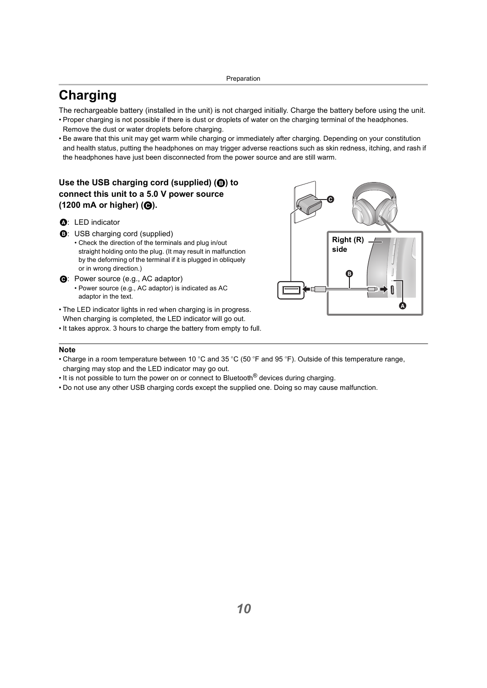## <span id="page-9-1"></span><span id="page-9-0"></span>**Charging**

The rechargeable battery (installed in the unit) is not charged initially. Charge the battery before using the unit.

- Proper charging is not possible if there is dust or droplets of water on the charging terminal of the headphones. Remove the dust or water droplets before charging.
- Be aware that this unit may get warm while charging or immediately after charging. Depending on your constitution and health status, putting the headphones on may trigger adverse reactions such as skin redness, itching, and rash if the headphones have just been disconnected from the power source and are still warm.

### **Use the USB charging cord (supplied) (**B**) to connect this unit to a 5.0 V power source (1200 mA or higher) (**C**).**

- A: LED indicator
- B: USB charging cord (supplied)
	- Check the direction of the terminals and plug in/out straight holding onto the plug. (It may result in malfunction by the deforming of the terminal if it is plugged in obliquely or in wrong direction.)
- $\Theta$ **:** Power source (e.g., AC adaptor)
	- Power source (e.g., AC adaptor) is indicated as AC adaptor in the text.
- The LED indicator lights in red when charging is in progress. When charging is completed, the LED indicator will go out.
- It takes approx. 3 hours to charge the battery from empty to full.



- Charge in a room temperature between 10 °C and 35 °C (50 °F and 95 °F). Outside of this temperature range, charging may stop and the LED indicator may go out.
- It is not possible to turn the power on or connect to Bluetooth<sup>®</sup> devices during charging.
- Do not use any other USB charging cords except the supplied one. Doing so may cause malfunction.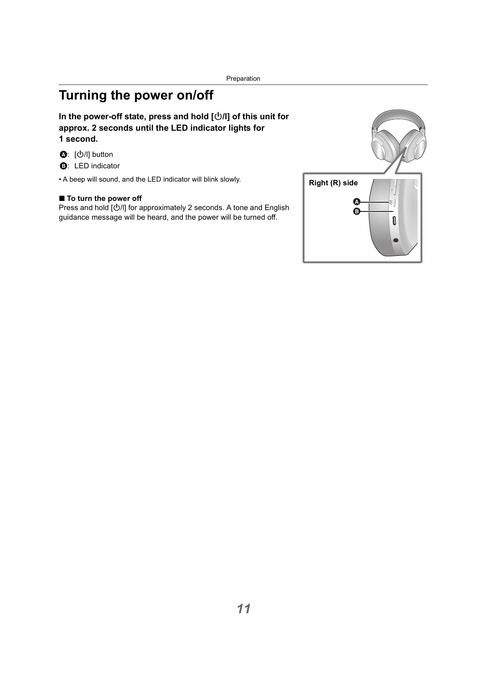## <span id="page-10-0"></span>**Turning the power on/off**

### In the power-off state, press and hold  $[\bigcirc\theta]$  of this unit for **approx. 2 seconds until the LED indicator lights for 1 second.**

- **❹**: [少/l] button
- **B:** LED indicator

• A beep will sound, and the LED indicator will blink slowly.

### ■ To turn the power off

Press and hold  $[\bigcirc\!/\!\!/]$  for approximately 2 seconds. A tone and English guidance message will be heard, and the power will be turned off.

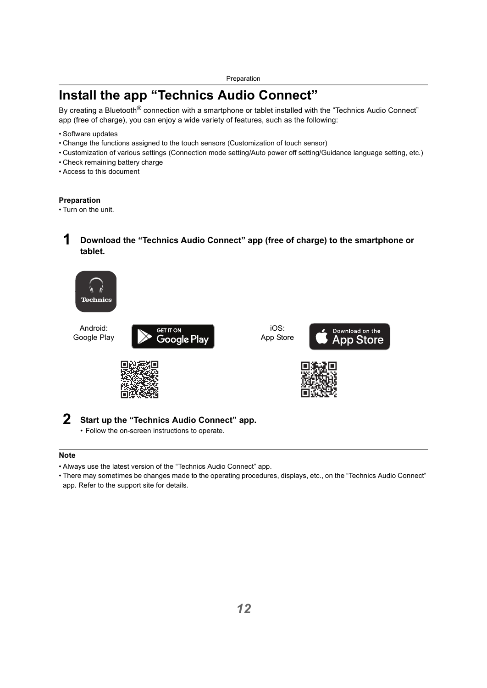## <span id="page-11-0"></span>**Install the app "Technics Audio Connect"**

By creating a Bluetooth<sup>®</sup> connection with a smartphone or tablet installed with the "Technics Audio Connect" app (free of charge), you can enjoy a wide variety of features, such as the following:

- Software updates
- Change the functions assigned to the touch sensors (Customization of touch sensor)
- Customization of various settings (Connection mode setting/Auto power off setting/Guidance language setting, etc.)
- Check remaining battery charge
- Access to this document

#### **Preparation**

• Turn on the unit.

### **1 Download the "Technics Audio Connect" app (free of charge) to the smartphone or tablet.**



Android: Google Play



iOS: App Store







### **2 Start up the "Technics Audio Connect" app.**

• Follow the on-screen instructions to operate.

- Always use the latest version of the "Technics Audio Connect" app.
- There may sometimes be changes made to the operating procedures, displays, etc., on the "Technics Audio Connect" app. Refer to the support site for details.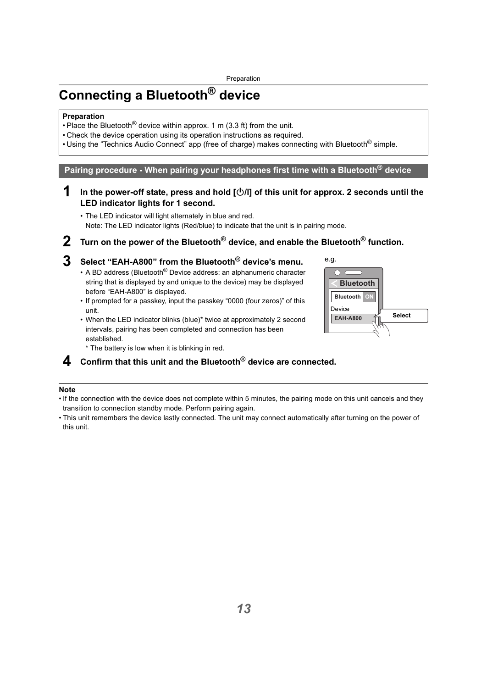## <span id="page-12-0"></span>**Connecting a Bluetooth® device**

#### **Preparation**

- Place the Bluetooth<sup>®</sup> device within approx. 1 m  $(3.3 \text{ ft})$  from the unit.
- Check the device operation using its operation instructions as required.
- Using the "Technics Audio Connect" app (free of charge) makes connecting with Bluetooth<sup>®</sup> simple.

<span id="page-12-1"></span>**Pairing procedure - When pairing your headphones first time with a Bluetooth® device**

**1 In the power-off state, press and hold [**Í**/l] of this unit for approx. 2 seconds until the LED indicator lights for 1 second.**

• The LED indicator will light alternately in blue and red. Note: The LED indicator lights (Red/blue) to indicate that the unit is in pairing mode.

**2 Turn on the power of the Bluetooth® device, and enable the Bluetooth® function.**

### **3 Select "EAH-A800" from the Bluetooth® device's menu.**

- A BD address (Bluetooth $^{\circledR}$  Device address: an alphanumeric character string that is displayed by and unique to the device) may be displayed before "EAH-A800" is displayed.
- If prompted for a passkey, input the passkey "0000 (four zeros)" of this unit.
- When the LED indicator blinks (blue)\* twice at approximately 2 second intervals, pairing has been completed and connection has been established.



\* The battery is low when it is blinking in red.

### **4 Confirm that this unit and the Bluetooth® device are connected.**

- If the connection with the device does not complete within 5 minutes, the pairing mode on this unit cancels and they transition to connection standby mode. Perform pairing again.
- This unit remembers the device lastly connected. The unit may connect automatically after turning on the power of this unit.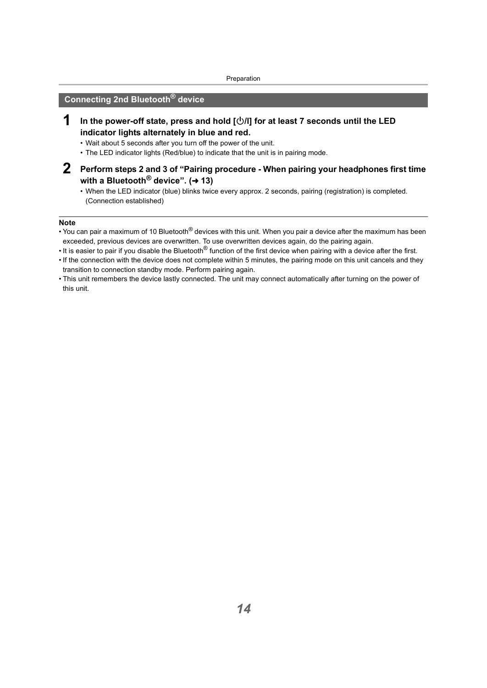### <span id="page-13-0"></span>**Connecting 2nd Bluetooth® device**

- **1 In the power-off state, press and hold [**Í**/l] for at least 7 seconds until the LED indicator lights alternately in blue and red.**
	- Wait about 5 seconds after you turn off the power of the unit.
	- The LED indicator lights (Red/blue) to indicate that the unit is in pairing mode.
- **2 Perform steps 2 and 3 of "Pairing procedure When pairing your headphones first time with a Bluetooth<sup>®</sup> device". (→ [13\)](#page-12-1)** 
	- When the LED indicator (blue) blinks twice every approx. 2 seconds, pairing (registration) is completed. (Connection established)

- You can pair a maximum of 10 Bluetooth® devices with this unit. When you pair a device after the maximum has been exceeded, previous devices are overwritten. To use overwritten devices again, do the pairing again.
- It is easier to pair if you disable the Bluetooth<sup>®</sup> function of the first device when pairing with a device after the first.
- If the connection with the device does not complete within 5 minutes, the pairing mode on this unit cancels and they transition to connection standby mode. Perform pairing again.
- This unit remembers the device lastly connected. The unit may connect automatically after turning on the power of this unit.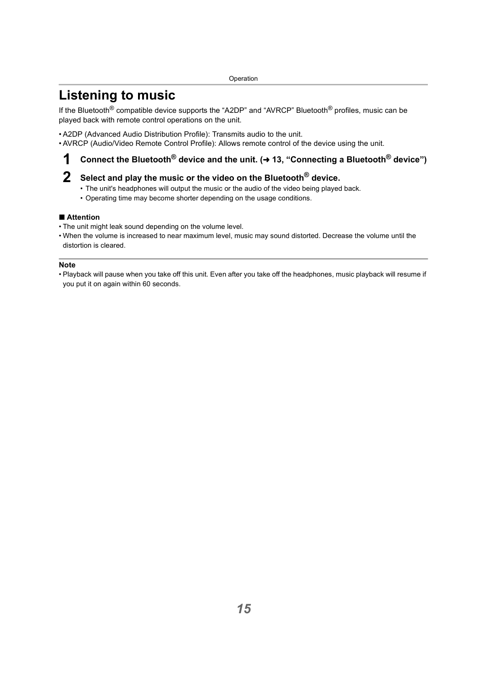## <span id="page-14-1"></span><span id="page-14-0"></span>**Listening to music**

If the Bluetooth<sup>®</sup> compatible device supports the "A2DP" and "AVRCP" Bluetooth<sup>®</sup> profiles, music can be played back with remote control operations on the unit.

- A2DP (Advanced Audio Distribution Profile): Transmits audio to the unit.
- AVRCP (Audio/Video Remote Control Profile): Allows remote control of the device using the unit.

## **1** Connect the Bluetooth<sup>®</sup> device and the unit. (→ 13, "Connecting a Bluetooth<sup>®</sup> device")

## **2 Select and play the music or the video on the Bluetooth® device.**

- The unit's headphones will output the music or the audio of the video being played back.
- Operating time may become shorter depending on the usage conditions.

#### ∫ **Attention**

- The unit might leak sound depending on the volume level.
- When the volume is increased to near maximum level, music may sound distorted. Decrease the volume until the distortion is cleared.

#### **Note**

• Playback will pause when you take off this unit. Even after you take off the headphones, music playback will resume if you put it on again within 60 seconds.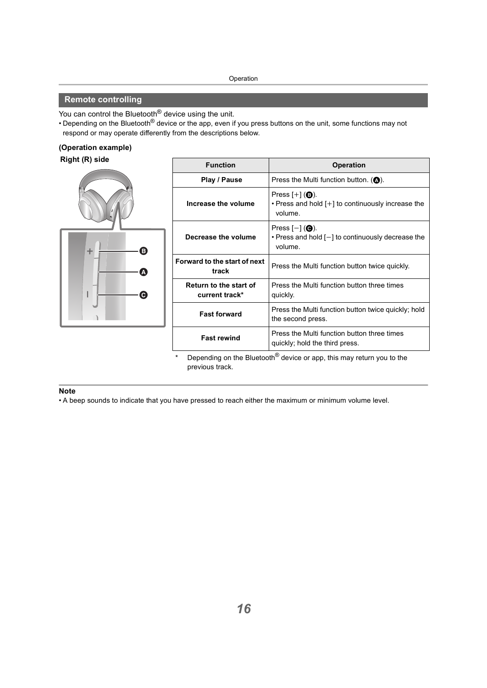### <span id="page-15-0"></span>**Remote controlling**

You can control the Bluetooth<sup>®</sup> device using the unit.

• Depending on the Bluetooth® device or the app, even if you press buttons on the unit, some functions may not respond or may operate differently from the descriptions below.

#### **(Operation example)**

#### **Right (R) side**



| <b>Function</b>                          | <b>Operation</b>                                                                                    |  |
|------------------------------------------|-----------------------------------------------------------------------------------------------------|--|
| Play / Pause                             | Press the Multi function button. ( $\bullet$ ).                                                     |  |
| Increase the volume                      | Press $[+]$ ( <b>B</b> ).<br>• Press and hold [+] to continuously increase the<br>volume.           |  |
| Decrease the volume                      | Press $[-]$ ( $\bigcirc$ ).<br>$\cdot$ Press and hold $[-]$ to continuously decrease the<br>volume. |  |
| Forward to the start of next<br>track    | Press the Multi function button twice quickly.                                                      |  |
| Return to the start of<br>current track* | Press the Multi function button three times<br>quickly.                                             |  |
| <b>Fast forward</b>                      | Press the Multi function button twice quickly; hold<br>the second press.                            |  |
| <b>Fast rewind</b>                       | Press the Multi function button three times<br>quickly; hold the third press.                       |  |

Depending on the Bluetooth<sup>®</sup> device or app, this may return you to the previous track.

#### **Note**

• A beep sounds to indicate that you have pressed to reach either the maximum or minimum volume level.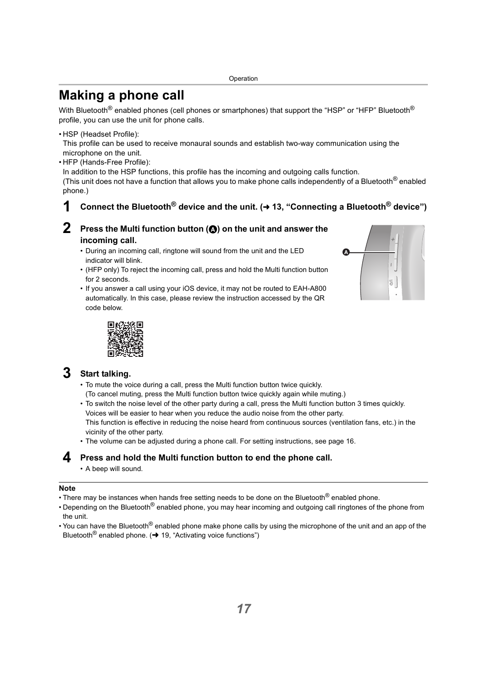## <span id="page-16-0"></span>**Making a phone call**

With Bluetooth<sup>®</sup> enabled phones (cell phones or smartphones) that support the "HSP" or "HFP" Bluetooth<sup>®</sup> profile, you can use the unit for phone calls.

• HSP (Headset Profile):

This profile can be used to receive monaural sounds and establish two-way communication using the microphone on the unit.

• HFP (Hands-Free Profile):

In addition to the HSP functions, this profile has the incoming and outgoing calls function.

(This unit does not have a function that allows you to make phone calls independently of a Bluetooth<sup>®</sup> enabled phone.)

## **1** Connect the Bluetooth<sup>®</sup> device and the unit. (→ 13, "Connecting a Bluetooth<sup>®</sup> device")

### **Press the Multi function button (** $\odot$ **) on the unit and answer the incoming call.**

- During an incoming call, ringtone will sound from the unit and the LED indicator will blink.
- (HFP only) To reject the incoming call, press and hold the Multi function button for 2 seconds.
- If you answer a call using your iOS device, it may not be routed to EAH-A800 automatically. In this case, please review the instruction accessed by the QR code below.





## **3 Start talking.**

- To mute the voice during a call, press the Multi function button twice quickly. (To cancel muting, press the Multi function button twice quickly again while muting.)
- To switch the noise level of the other party during a call, press the Multi function button 3 times quickly. Voices will be easier to hear when you reduce the audio noise from the other party. This function is effective in reducing the noise heard from continuous sources (ventilation fans, etc.) in the vicinity of the other party.
- The volume can be adjusted during a phone call. For setting instructions, see page [16](#page-15-0).

### **4 Press and hold the Multi function button to end the phone call.**

• A beep will sound.

- There may be instances when hands free setting needs to be done on the Bluetooth<sup>®</sup> enabled phone.
- Depending on the Bluetooth<sup>®</sup> enabled phone, you may hear incoming and outgoing call ringtones of the phone from the unit.
- You can have the Bluetooth<sup>®</sup> enabled phone make phone calls by using the microphone of the unit and an app of the Bluetooth<sup>®</sup> enabled phone. ( $\rightarrow$  [19, "Activating voice functions"\)](#page-18-2)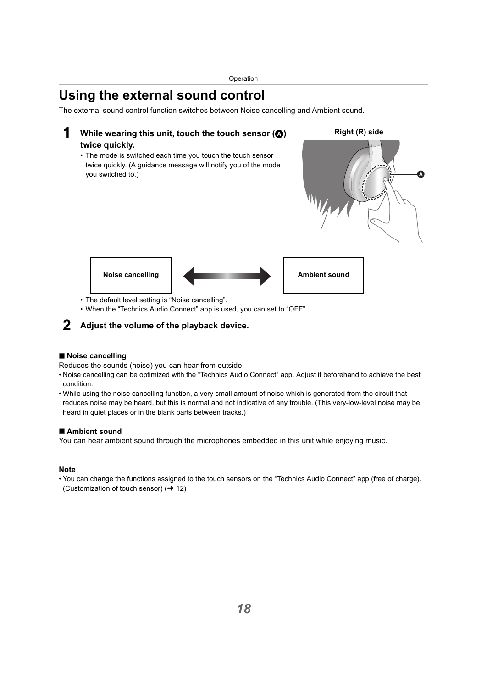## <span id="page-17-0"></span>**Using the external sound control**

The external sound control function switches between Noise cancelling and Ambient sound.

## **1** While wearing this unit, touch the touch sensor ( $\odot$ ) **twice quickly.**

• The mode is switched each time you touch the touch sensor twice quickly. (A guidance message will notify you of the mode you switched to.)





- The default level setting is "Noise cancelling".
- When the "Technics Audio Connect" app is used, you can set to "OFF".

### **2 Adjust the volume of the playback device.**

#### ∫ **Noise cancelling**

Reduces the sounds (noise) you can hear from outside.

- Noise cancelling can be optimized with the "Technics Audio Connect" app. Adjust it beforehand to achieve the best condition.
- While using the noise cancelling function, a very small amount of noise which is generated from the circuit that reduces noise may be heard, but this is normal and not indicative of any trouble. (This very-low-level noise may be heard in quiet places or in the blank parts between tracks.)

#### ∫ **Ambient sound**

You can hear ambient sound through the microphones embedded in this unit while enjoying music.

#### **Note**

• You can change the functions assigned to the touch sensors on the "Technics Audio Connect" app (free of charge). (Customization of touch sensor)  $($   $\rightarrow$  [12\)](#page-11-0)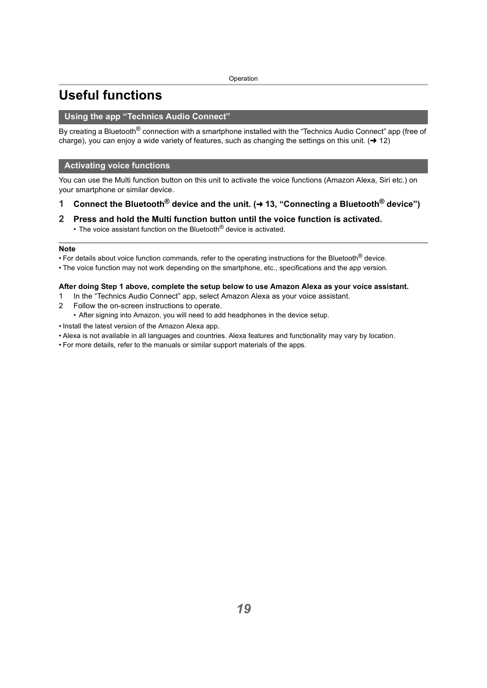## <span id="page-18-0"></span>**Useful functions**

#### <span id="page-18-1"></span>**Using the app "Technics Audio Connect"**

By creating a Bluetooth<sup>®</sup> connection with a smartphone installed with the "Technics Audio Connect" app (free of charge), you can enjoy a wide variety of features, such as changing the settings on this unit.  $(\rightarrow 12)$  $(\rightarrow 12)$ 

#### <span id="page-18-2"></span>**Activating voice functions**

You can use the Multi function button on this unit to activate the voice functions (Amazon Alexa, Siri etc.) on your smartphone or similar device.

- **1 Connect the Bluetooth® device and the unit. (**<sup>l</sup> **[13, "Connecting a Bluetooth® device"\)](#page-12-0)**
- **2 Press and hold the Multi function button until the voice function is activated.**
	- The voice assistant function on the Bluetooth $^{\circledR}$  device is activated.

#### **Note**

• For details about voice function commands, refer to the operating instructions for the Bluetooth<sup>®</sup> device.

• The voice function may not work depending on the smartphone, etc., specifications and the app version.

#### **After doing Step 1 above, complete the setup below to use Amazon Alexa as your voice assistant.**

- 1 In the "Technics Audio Connect" app, select Amazon Alexa as your voice assistant.
- 2 Follow the on-screen instructions to operate.
	- After signing into Amazon, you will need to add headphones in the device setup.
- Install the latest version of the Amazon Alexa app.
- Alexa is not available in all languages and countries. Alexa features and functionality may vary by location.
- For more details, refer to the manuals or similar support materials of the apps.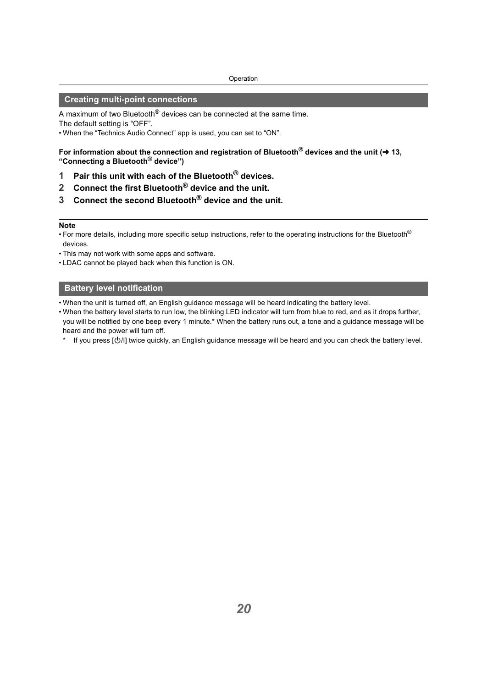#### <span id="page-19-0"></span>**Creating multi-point connections**

A maximum of two Bluetooth<sup>®</sup> devices can be connected at the same time. The default setting is "OFF".

• When the "Technics Audio Connect" app is used, you can set to "ON".

For information about the connection and registration of Bluetooth<sup>®</sup> devices and the unit (→ 13, **["Connecting a Bluetooth](#page-12-0)® device")**

- **1 Pair this unit with each of the Bluetooth® devices.**
- **2 Connect the first Bluetooth® device and the unit.**
- **3 Connect the second Bluetooth® device and the unit.**

#### **Note**

- For more details, including more specific setup instructions, refer to the operating instructions for the Bluetooth<sup>®</sup> devices.
- This may not work with some apps and software.
- LDAC cannot be played back when this function is ON.

#### <span id="page-19-1"></span>**Battery level notification**

- When the unit is turned off, an English guidance message will be heard indicating the battery level.
- When the battery level starts to run low, the blinking LED indicator will turn from blue to red, and as it drops further, you will be notified by one beep every 1 minute.\* When the battery runs out, a tone and a guidance message will be heard and the power will turn off.
	- If you press  $[\bigcirc/II]$  twice quickly, an English guidance message will be heard and you can check the battery level.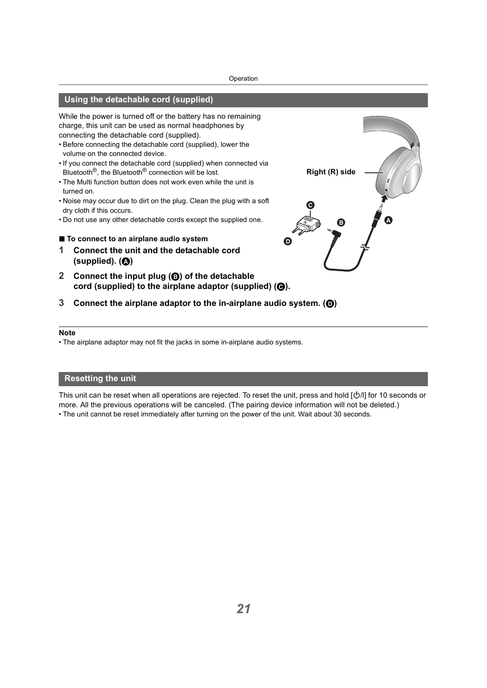### <span id="page-20-0"></span>**Using the detachable cord (supplied)**

While the power is turned off or the battery has no remaining charge, this unit can be used as normal headphones by connecting the detachable cord (supplied).

- Before connecting the detachable cord (supplied), lower the volume on the connected device.
- If you connect the detachable cord (supplied) when connected via Bluetooth®, the Bluetooth® connection will be lost.
- The Multi function button does not work even while the unit is turned on.
- Noise may occur due to dirt on the plug. Clean the plug with a soft dry cloth if this occurs.
- Do not use any other detachable cords except the supplied one.
- ∫ **To connect to an airplane audio system**
- **1 Connect the unit and the detachable cord (supplied). (**A**)**
- **2 Connect the input plug (**B**) of the detachable**  cord (supplied) to the airplane adaptor (supplied) ( $\Theta$ ).
- **3 Connect the airplane adaptor to the in-airplane audio system. (**D**)**

#### **Note**

• The airplane adaptor may not fit the jacks in some in-airplane audio systems.

#### <span id="page-20-1"></span>**Resetting the unit**

This unit can be reset when all operations are rejected. To reset the unit, press and hold [O/l] for 10 seconds or more. All the previous operations will be canceled. (The pairing device information will not be deleted.) • The unit cannot be reset immediately after turning on the power of the unit. Wait about 30 seconds.

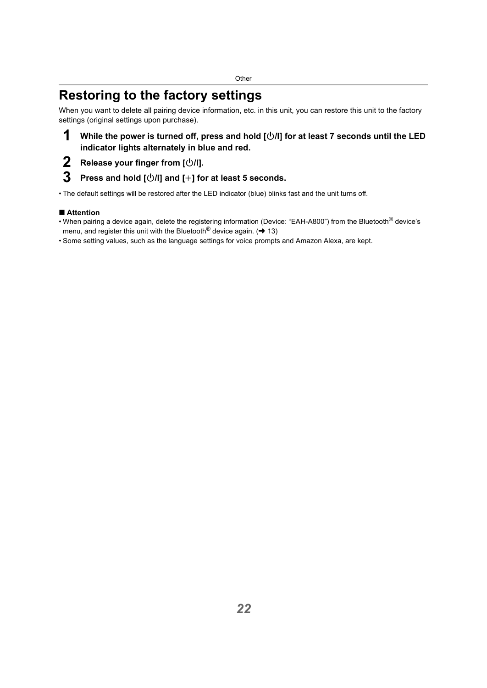## <span id="page-21-1"></span><span id="page-21-0"></span>**Restoring to the factory settings**

When you want to delete all pairing device information, etc. in this unit, you can restore this unit to the factory settings (original settings upon purchase).

## **1** While the power is turned off, press and hold  $[\bigcirc\!/\!\!/]$  for at least 7 seconds until the LED **indicator lights alternately in blue and red.**

**2 Release your finger from**  $\lfloor \frac{(\cdot)}{(\cdot)} \rfloor$ **.<br><b>3** Press and hold  $\lceil \frac{(\cdot)}{(\cdot)} \rceil \rceil$  and  $\lceil +1 \rceil \rceil \rceil$ 

## **3 Press and hold [**Í**/l] and [**i**] for at least 5 seconds.**

• The default settings will be restored after the LED indicator (blue) blinks fast and the unit turns off.

### ∫ **Attention**

- When pairing a device again, delete the registering information (Device: "EAH-A800") from the Bluetooth® device's menu, and register this unit with the Bluetooth<sup>®</sup> device again. ( $\rightarrow$  [13\)](#page-12-1)
- Some setting values, such as the language settings for voice prompts and Amazon Alexa, are kept.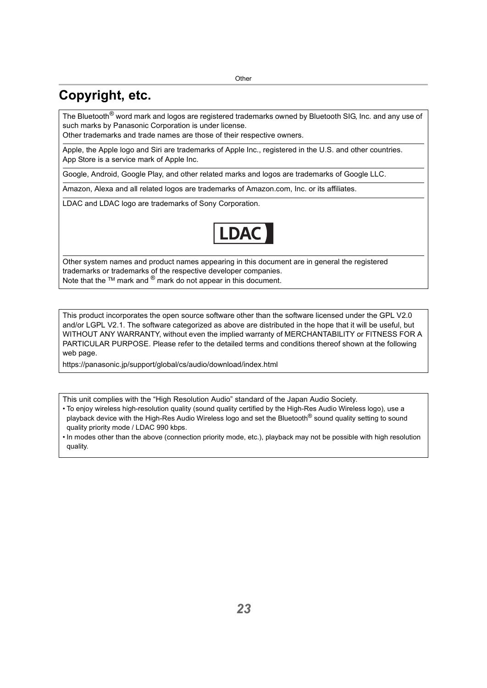## <span id="page-22-0"></span>**Copyright, etc.**

The Bluetooth<sup>®</sup> word mark and logos are registered trademarks owned by Bluetooth SIG, Inc. and any use of such marks by Panasonic Corporation is under license.

Other trademarks and trade names are those of their respective owners.

Apple, the Apple logo and Siri are trademarks of Apple Inc., registered in the U.S. and other countries. App Store is a service mark of Apple Inc.

Google, Android, Google Play, and other related marks and logos are trademarks of Google LLC.

Amazon, Alexa and all related logos are trademarks of Amazon.com, Inc. or its affiliates.

LDAC and LDAC logo are trademarks of Sony Corporation.



Other system names and product names appearing in this document are in general the registered trademarks or trademarks of the respective developer companies. Note that the ™ mark and <sup>®</sup> mark do not appear in this document.

This product incorporates the open source software other than the software licensed under the GPL V2.0 and/or LGPL V2.1. The software categorized as above are distributed in the hope that it will be useful, but WITHOUT ANY WARRANTY, without even the implied warranty of MERCHANTABILITY or FITNESS FOR A PARTICULAR PURPOSE. Please refer to the detailed terms and conditions thereof shown at the following web page.

https://panasonic.jp/support/global/cs/audio/download/index.html

This unit complies with the "High Resolution Audio" standard of the Japan Audio Society.

- To enjoy wireless high-resolution quality (sound quality certified by the High-Res Audio Wireless logo), use a playback device with the High-Res Audio Wireless logo and set the Bluetooth<sup>®</sup> sound quality setting to sound quality priority mode / LDAC 990 kbps.
- In modes other than the above (connection priority mode, etc.), playback may not be possible with high resolution quality.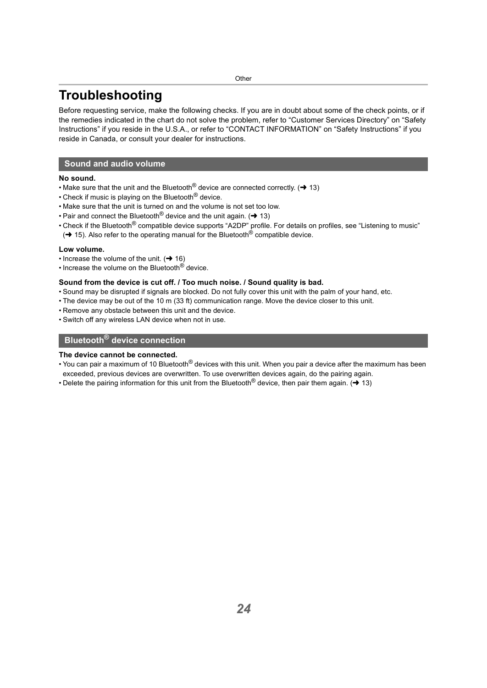## <span id="page-23-0"></span>**Troubleshooting**

Before requesting service, make the following checks. If you are in doubt about some of the check points, or if the remedies indicated in the chart do not solve the problem, refer to "Customer Services Directory" on "Safety Instructions" if you reside in the U.S.A., or refer to "CONTACT INFORMATION" on "Safety Instructions" if you reside in Canada, or consult your dealer for instructions.

#### <span id="page-23-1"></span>**Sound and audio volume**

#### **No sound.**

- Make sure that the unit and the Bluetooth<sup>®</sup> device are connected correctly. ( $\rightarrow$  [13\)](#page-12-0)
- Check if music is playing on the Bluetooth<sup>®</sup> device.
- Make sure that the unit is turned on and the volume is not set too low.
- Pair and connect the Bluetooth<sup>®</sup> device and the unit again. ( $\rightarrow$  [13\)](#page-12-0)
- Check if the Bluetooth<sup>®</sup> compatible device supports "A2DP" profile. For details on profiles, see ["Listening to music"](#page-14-1)  $\rightarrow$  [15\).](#page-14-1) Also refer to the operating manual for the Bluetooth<sup>®</sup> compatible device.

#### **Low volume.**

- Increase the volume of the unit.  $( \rightarrow 16)$  $( \rightarrow 16)$
- Increase the volume on the Bluetooth<sup>®</sup> device.

#### **Sound from the device is cut off. / Too much noise. / Sound quality is bad.**

- Sound may be disrupted if signals are blocked. Do not fully cover this unit with the palm of your hand, etc.
- The device may be out of the 10 m (33 ft) communication range. Move the device closer to this unit.
- Remove any obstacle between this unit and the device.
- Switch off any wireless LAN device when not in use.

## <span id="page-23-2"></span>**Bluetooth® device connection**

#### **The device cannot be connected.**

- You can pair a maximum of 10 Bluetooth<sup>®</sup> devices with this unit. When you pair a device after the maximum has been exceeded, previous devices are overwritten. To use overwritten devices again, do the pairing again.
- Delete the pairing information for this unit from the Bluetooth<sup>®</sup> device, then pair them again. ( $\rightarrow$  [13\)](#page-12-0)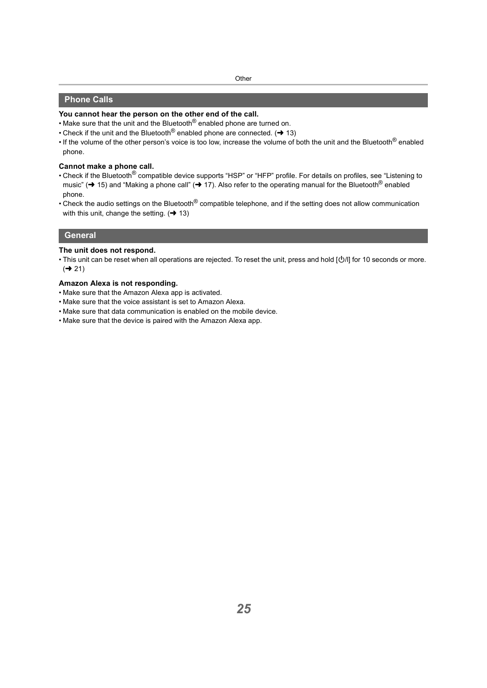#### <span id="page-24-0"></span>**Phone Calls**

#### **You cannot hear the person on the other end of the call.**

- Make sure that the unit and the Bluetooth<sup>®</sup> enabled phone are turned on.
- Check if the unit and the Bluetooth<sup>®</sup> enabled phone are connected.  $($   $\rightarrow$  [13\)](#page-12-0)
- If the volume of the other person's voice is too low, increase the volume of both the unit and the Bluetooth<sup>®</sup> enabled phone.

#### **Cannot make a phone call.**

- Check if the Bluetooth<sup>®</sup> compatible device supports "HSP" or "HFP" profile. For details on profiles, see "Listening to [music"](#page-14-1) ( $\rightarrow$  [15\)](#page-14-1) and ["Making a phone call"](#page-16-0) ( $\rightarrow$  [17\)](#page-16-0). Also refer to the operating manual for the Bluetooth<sup>®</sup> enabled phone.
- Check the audio settings on the Bluetooth<sup>®</sup> compatible telephone, and if the setting does not allow communication with this unit, change the setting.  $(\rightarrow 13)$  $(\rightarrow 13)$

#### <span id="page-24-1"></span>**General**

#### **The unit does not respond.**

• This unit can be reset when all operations are rejected. To reset the unit, press and hold [O/l] for 10 seconds or more.  $\left(\rightarrow 21\right)$ 

#### **Amazon Alexa is not responding.**

- Make sure that the Amazon Alexa app is activated.
- Make sure that the voice assistant is set to Amazon Alexa.
- Make sure that data communication is enabled on the mobile device.
- Make sure that the device is paired with the Amazon Alexa app.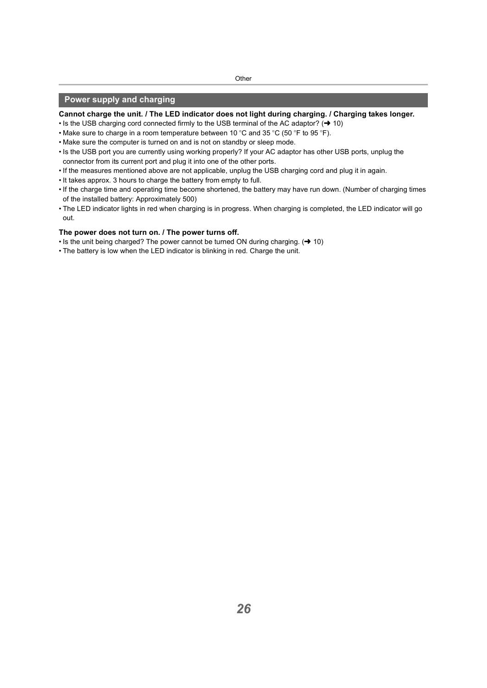#### <span id="page-25-0"></span>**Power supply and charging**

#### **Cannot charge the unit. / The LED indicator does not light during charging. / Charging takes longer.**

- Is the USB charging cord connected firmly to the USB terminal of the AC adaptor?  $(\rightarrow 10)$  $(\rightarrow 10)$
- Make sure to charge in a room temperature between 10 °C and 35 °C (50 °F to 95 °F).
- Make sure the computer is turned on and is not on standby or sleep mode.
- Is the USB port you are currently using working properly? If your AC adaptor has other USB ports, unplug the connector from its current port and plug it into one of the other ports.
- If the measures mentioned above are not applicable, unplug the USB charging cord and plug it in again.
- It takes approx. 3 hours to charge the battery from empty to full.
- If the charge time and operating time become shortened, the battery may have run down. (Number of charging times of the installed battery: Approximately 500)
- The LED indicator lights in red when charging is in progress. When charging is completed, the LED indicator will go out.

#### **The power does not turn on. / The power turns off.**

- Is the unit being charged? The power cannot be turned ON during charging.  $(\rightarrow 10)$  $(\rightarrow 10)$
- The battery is low when the LED indicator is blinking in red. Charge the unit.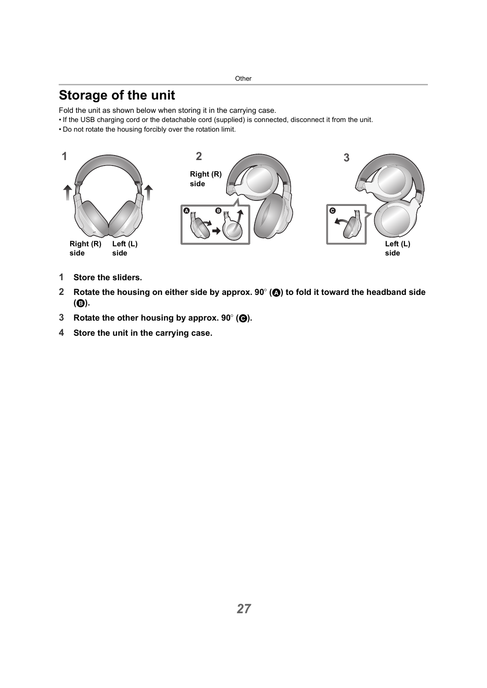## <span id="page-26-0"></span>**Storage of the unit**

Fold the unit as shown below when storing it in the carrying case.

- If the USB charging cord or the detachable cord (supplied) is connected, disconnect it from the unit.
- Do not rotate the housing forcibly over the rotation limit.



- **1 Store the sliders.**
- **2 Rotate the housing on either side by approx. 90° (@) to fold it toward the headband side (**B**).**
- **3 Rotate the other housing by approx. 90° (** $\Theta$ **).**
- **4 Store the unit in the carrying case.**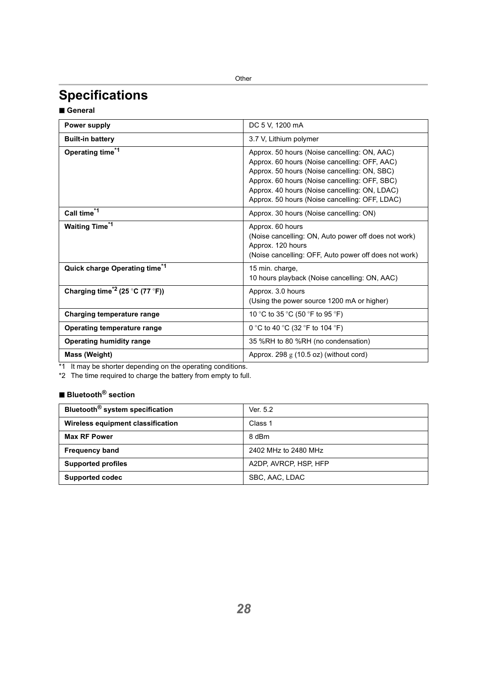## <span id="page-27-0"></span>**Specifications**

∫ **General**

| Power supply                                | DC 5 V, 1200 mA                                                                                                                                                                                                                                                                                   |
|---------------------------------------------|---------------------------------------------------------------------------------------------------------------------------------------------------------------------------------------------------------------------------------------------------------------------------------------------------|
| <b>Built-in battery</b>                     | 3.7 V, Lithium polymer                                                                                                                                                                                                                                                                            |
| Operating time <sup>*1</sup>                | Approx. 50 hours (Noise cancelling: ON, AAC)<br>Approx. 60 hours (Noise cancelling: OFF, AAC)<br>Approx. 50 hours (Noise cancelling: ON, SBC)<br>Approx. 60 hours (Noise cancelling: OFF, SBC)<br>Approx. 40 hours (Noise cancelling: ON, LDAC)<br>Approx. 50 hours (Noise cancelling: OFF, LDAC) |
| Call time <sup>*1</sup>                     | Approx. 30 hours (Noise cancelling: ON)                                                                                                                                                                                                                                                           |
| <b>Waiting Time<sup>*1</sup></b>            | Approx. 60 hours<br>(Noise cancelling: ON, Auto power off does not work)<br>Approx. 120 hours<br>(Noise cancelling: OFF, Auto power off does not work)                                                                                                                                            |
| Quick charge Operating time*1               | 15 min. charge,<br>10 hours playback (Noise cancelling: ON, AAC)                                                                                                                                                                                                                                  |
| Charging time <sup>*2</sup> (25 °C (77 °F)) | Approx. 3.0 hours<br>(Using the power source 1200 mA or higher)                                                                                                                                                                                                                                   |
| Charging temperature range                  | 10 °C to 35 °C (50 °F to 95 °F)                                                                                                                                                                                                                                                                   |
| Operating temperature range                 | 0 °C to 40 °C (32 °F to 104 °F)                                                                                                                                                                                                                                                                   |
| Operating humidity range                    | 35 %RH to 80 %RH (no condensation)                                                                                                                                                                                                                                                                |
| Mass (Weight)                               | Approx. 298 $g$ (10.5 oz) (without cord)                                                                                                                                                                                                                                                          |

\*1 It may be shorter depending on the operating conditions.

\*2 The time required to charge the battery from empty to full.

## ∫ **Bluetooth® section**

| Bluetooth <sup>®</sup> system specification<br>Ver. 5.2<br>Wireless equipment classification<br>Class 1<br>8 dBm<br><b>Max RF Power</b><br>2402 MHz to 2480 MHz<br><b>Frequency band</b><br>A2DP, AVRCP, HSP, HFP<br><b>Supported profiles</b><br>SBC, AAC, LDAC<br>Supported codec |  |
|-------------------------------------------------------------------------------------------------------------------------------------------------------------------------------------------------------------------------------------------------------------------------------------|--|
|                                                                                                                                                                                                                                                                                     |  |
|                                                                                                                                                                                                                                                                                     |  |
|                                                                                                                                                                                                                                                                                     |  |
|                                                                                                                                                                                                                                                                                     |  |
|                                                                                                                                                                                                                                                                                     |  |
|                                                                                                                                                                                                                                                                                     |  |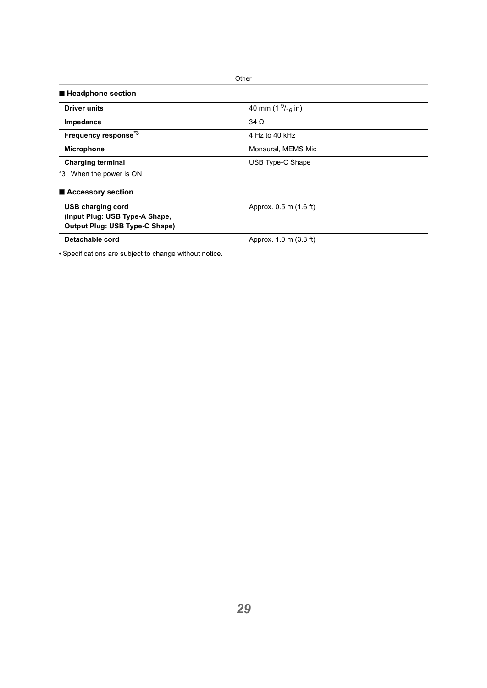#### ∫ **Headphone section**

| <b>Driver units</b>                    | 40 mm (1 $^{9}$ / <sub>16</sub> in) |
|----------------------------------------|-------------------------------------|
| Impedance                              | $34\Omega$                          |
| <b>Frequency response</b> <sup>3</sup> | 4 Hz to 40 kHz                      |
| <b>Microphone</b>                      | Monaural, MEMS Mic                  |
| <b>Charging terminal</b>               | USB Type-C Shape                    |
|                                        |                                     |

\*3 When the power is ON

#### ∫ **Accessory section**

| USB charging cord<br>(Input Plug: USB Type-A Shape,<br>Output Plug: USB Type-C Shape) | Approx. 0.5 m (1.6 ft) |
|---------------------------------------------------------------------------------------|------------------------|
| Detachable cord                                                                       | Approx. 1.0 m (3.3 ft) |

• Specifications are subject to change without notice.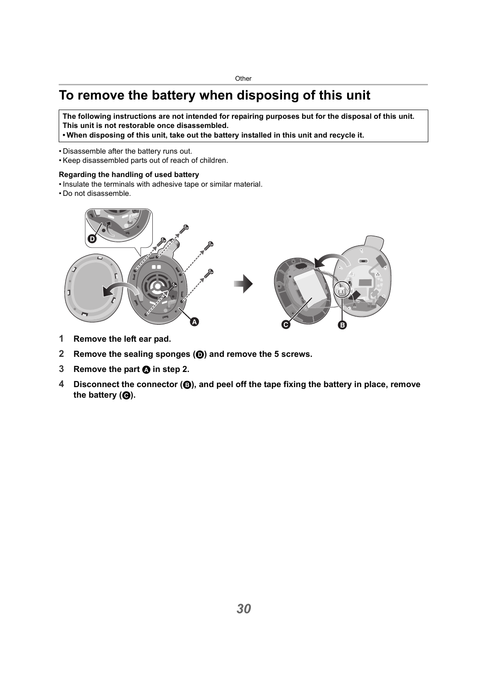## <span id="page-29-0"></span>**To remove the battery when disposing of this unit**

**The following instructions are not intended for repairing purposes but for the disposal of this unit. This unit is not restorable once disassembled.**

**• When disposing of this unit, take out the battery installed in this unit and recycle it.**

- Disassemble after the battery runs out.
- Keep disassembled parts out of reach of children.

#### **Regarding the handling of used battery**

- Insulate the terminals with adhesive tape or similar material.
- Do not disassemble.



- **1 Remove the left ear pad.**
- **2 Remove the sealing sponges (**D**) and remove the 5 screws.**
- **3 Remove the part <b>A** in step 2.
- **4 Disconnect the connector (**B**), and peel off the tape fixing the battery in place, remove**  the battery (**@**).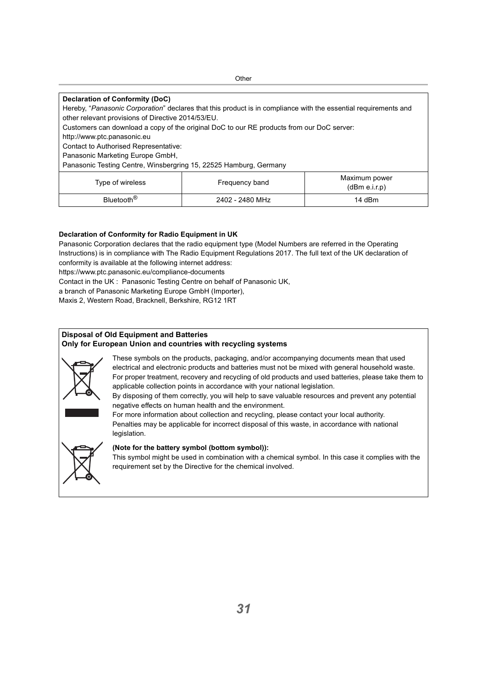| Declaration of Conformity (DoC)                                                                                 |                 |               |
|-----------------------------------------------------------------------------------------------------------------|-----------------|---------------|
| Hereby, "Panasonic Corporation" declares that this product is in compliance with the essential requirements and |                 |               |
| other relevant provisions of Directive 2014/53/EU.                                                              |                 |               |
| Customers can download a copy of the original DoC to our RE products from our DoC server:                       |                 |               |
| http://www.ptc.panasonic.eu                                                                                     |                 |               |
| Contact to Authorised Representative:                                                                           |                 |               |
| Panasonic Marketing Europe GmbH,                                                                                |                 |               |
| Panasonic Testing Centre, Winsbergring 15, 22525 Hamburg, Germany                                               |                 |               |
|                                                                                                                 |                 | Maximum power |
| Type of wireless                                                                                                | Frequency band  | (dBm e.i.r.p) |
| Bluetooth <sup>®</sup>                                                                                          | 2402 - 2480 MHz | 14 dBm        |
|                                                                                                                 |                 |               |

#### **Declaration of Conformity for Radio Equipment in UK**

Panasonic Corporation declares that the radio equipment type (Model Numbers are referred in the Operating Instructions) is in compliance with The Radio Equipment Regulations 2017. The full text of the UK declaration of conformity is available at the following internet address: https://www.ptc.panasonic.eu/compliance-documents

Contact in the UK : Panasonic Testing Centre on behalf of Panasonic UK,

a branch of Panasonic Marketing Europe GmbH (Importer),

Maxis 2, Western Road, Bracknell, Berkshire, RG12 1RT

#### **Disposal of Old Equipment and Batteries Only for European Union and countries with recycling systems**



These symbols on the products, packaging, and/or accompanying documents mean that used electrical and electronic products and batteries must not be mixed with general household waste. For proper treatment, recovery and recycling of old products and used batteries, please take them to applicable collection points in accordance with your national legislation.

By disposing of them correctly, you will help to save valuable resources and prevent any potential negative effects on human health and the environment.

For more information about collection and recycling, please contact your local authority. Penalties may be applicable for incorrect disposal of this waste, in accordance with national legislation.



#### **(Note for the battery symbol (bottom symbol)):**

This symbol might be used in combination with a chemical symbol. In this case it complies with the requirement set by the Directive for the chemical involved.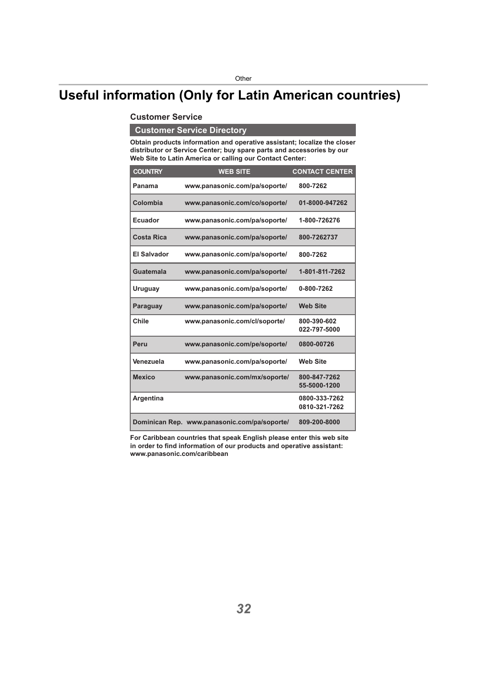## <span id="page-31-0"></span>**Useful information (Only for Latin American countries)**

#### **Customer Service**

## **Customer Service Directory**

**Obtain products information and operative assistant; localize the closer distributor or Service Center; buy spare parts and accessories by our Web Site to Latin America or calling our Contact Center:**

| <b>COUNTRY</b>    | <b>WEB SITE</b>                              | <b>CONTACT CENTER</b>          |
|-------------------|----------------------------------------------|--------------------------------|
| Panama            | www.panasonic.com/pa/soporte/                | 800-7262                       |
| Colombia          | www.panasonic.com/co/soporte/                | 01-8000-947262                 |
| Ecuador           | www.panasonic.com/pa/soporte/                | 1-800-726276                   |
| <b>Costa Rica</b> | www.panasonic.com/pa/soporte/                | 800-7262737                    |
| El Salvador       | www.panasonic.com/pa/soporte/                | 800-7262                       |
| Guatemala         | www.panasonic.com/pa/soporte/                | 1-801-811-7262                 |
| Uruguay           | www.panasonic.com/pa/soporte/                | 0-800-7262                     |
| Paraguay          | www.panasonic.com/pa/soporte/                | <b>Web Site</b>                |
| Chile             | www.panasonic.com/cl/soporte/                | 800-390-602<br>022-797-5000    |
| Peru              | www.panasonic.com/pe/soporte/                | 0800-00726                     |
| Venezuela         | www.panasonic.com/pa/soporte/                | <b>Web Site</b>                |
| <b>Mexico</b>     | www.panasonic.com/mx/soporte/                | 800-847-7262<br>55-5000-1200   |
| Argentina         |                                              | 0800-333-7262<br>0810-321-7262 |
|                   | Dominican Rep. www.panasonic.com/pa/soporte/ | 809-200-8000                   |

**For Caribbean countries that speak English please enter this web site in order to find information of our products and operative assistant: www.panasonic.com/caribbean**